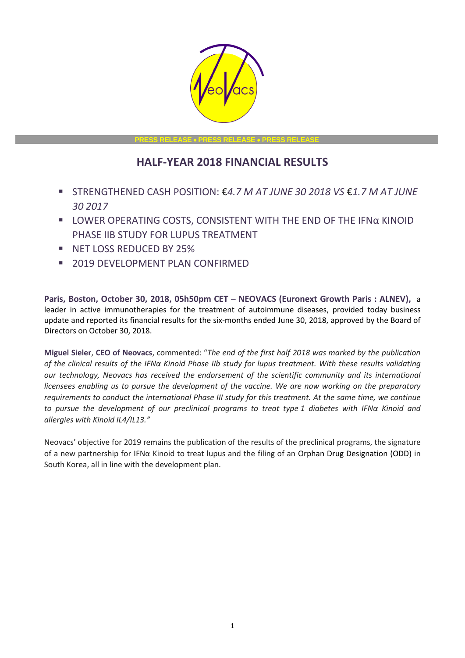

**PRESS RELEASE** • **PRESS RELEASE** • **PRESS RELEASE**

# **HALF-YEAR 2018 FINANCIAL RESULTS**

- STRENGTHENED CASH POSITION: €*4.7 M AT JUNE 30 2018 VS* €*1.7 M AT JUNE 30 2017*
- LOWER OPERATING COSTS, CONSISTENT WITH THE END OF THE IFNα KINOID PHASE IIB STUDY FOR LUPUS TREATMENT
- **E** NET LOSS REDUCED BY 25%
- **2019 DEVELOPMENT PLAN CONFIRMED**

**Paris, Boston, October 30, 2018, 05h50pm CET – NEOVACS (Euronext Growth Paris : ALNEV),** a leader in active immunotherapies for the treatment of autoimmune diseases, provided today business update and reported its financial results for the six-months ended June 30, 2018, approved by the Board of Directors on October 30, 2018.

**Miguel Sieler**, **CEO of Neovacs**, commented: "*The end of the first half 2018 was marked by the publication of the clinical results of the IFNα Kinoid Phase IIb study for lupus treatment. With these results validating our technology, Neovacs has received the endorsement of the scientific community and its international licensees enabling us to pursue the development of the vaccine. We are now working on the preparatory requirements to conduct the international Phase III study for this treatment. At the same time, we continue to pursue the development of our preclinical programs to treat type 1 diabetes with IFNα Kinoid and allergies with Kinoid IL4/IL13."*

Neovacs' objective for 2019 remains the publication of the results of the preclinical programs, the signature of a new partnership for IFNα Kinoid to treat lupus and the filing of an Orphan Drug Designation (ODD) in South Korea, all in line with the development plan.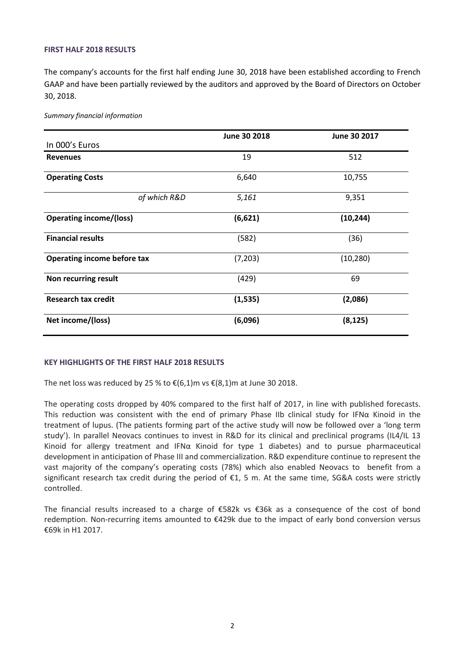## **FIRST HALF 2018 RESULTS**

The company's accounts for the first half ending June 30, 2018 have been established according to French GAAP and have been partially reviewed by the auditors and approved by the Board of Directors on October 30, 2018.

*Summary financial information*

|                                    | June 30 2018 | June 30 2017 |
|------------------------------------|--------------|--------------|
| In 000's Euros                     |              |              |
| <b>Revenues</b>                    | 19           | 512          |
| <b>Operating Costs</b>             | 6,640        | 10,755       |
| of which R&D                       | 5,161        | 9,351        |
| <b>Operating income/(loss)</b>     | (6,621)      | (10, 244)    |
| <b>Financial results</b>           | (582)        | (36)         |
| <b>Operating income before tax</b> | (7, 203)     | (10, 280)    |
| Non recurring result               | (429)        | 69           |
| <b>Research tax credit</b>         | (1, 535)     | (2,086)      |
| Net income/(loss)                  | (6,096)      | (8, 125)     |

#### **KEY HIGHLIGHTS OF THE FIRST HALF 2018 RESULTS**

The net loss was reduced by 25 % to  $\epsilon$ (6,1)m vs  $\epsilon$ (8,1)m at June 30 2018.

The operating costs dropped by 40% compared to the first half of 2017, in line with published forecasts. This reduction was consistent with the end of primary Phase IIb clinical study for IFNα Kinoid in the treatment of lupus. (The patients forming part of the active study will now be followed over a 'long term study'). In parallel Neovacs continues to invest in R&D for its clinical and preclinical programs (IL4/IL 13 Kinoid for allergy treatment and IFN $\alpha$  Kinoid for type 1 diabetes) and to pursue pharmaceutical development in anticipation of Phase III and commercialization. R&D expenditure continue to represent the vast majority of the company's operating costs (78%) which also enabled Neovacs to benefit from a significant research tax credit during the period of €1, 5 m. At the same time, SG&A costs were strictly controlled.

The financial results increased to a charge of €582k vs €36k as a consequence of the cost of bond redemption. Non-recurring items amounted to €429k due to the impact of early bond conversion versus €69k in H1 2017.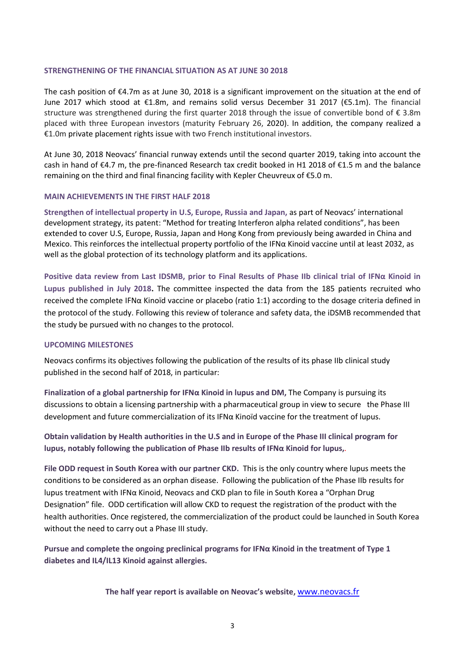### **STRENGTHENING OF THE FINANCIAL SITUATION AS AT JUNE 30 2018**

The cash position of €4.7m as at June 30, 2018 is a significant improvement on the situation at the end of June 2017 which stood at €1.8m, and remains solid versus December 31 2017 (€5.1m). The financial structure was strengthened during the first quarter 2018 through the issue of convertible bond of  $\epsilon$  3.8m placed with three European investors (maturity February 26, 2020). In addition, the company realized a €1.0m private placement rights issue with two French institutional investors.

At June 30, 2018 Neovacs' financial runway extends until the second quarter 2019, taking into account the cash in hand of €4.7 m, the pre-financed Research tax credit booked in H1 2018 of €1.5 m and the balance remaining on the third and final financing facility with Kepler Cheuvreux of €5.0 m.

# **MAIN ACHIEVEMENTS IN THE FIRST HALF 2018**

**Strengthen of intellectual property in U.S, Europe, Russia and Japan,** as part of Neovacs' international development strategy, its patent: "Method for treating Interferon alpha related conditions", has been extended to cover U.S, Europe, Russia, Japan and Hong Kong from previously being awarded in China and Mexico. This reinforces the intellectual property portfolio of the IFNα Kinoid vaccine until at least 2032, as well as the global protection of its technology platform and its applications.

**Positive data review from Last IDSMB, prior to Final Results of Phase IIb clinical trial of IFNα Kinoid in Lupus published in July 2018.** The committee inspected the data from the 185 patients recruited who received the complete IFNα Kinoїd vaccine or placebo (ratio 1:1) according to the dosage criteria defined in the protocol of the study. Following this review of tolerance and safety data, the iDSMB recommended that the study be pursued with no changes to the protocol.

# **UPCOMING MILESTONES**

Neovacs confirms its objectives following the publication of the results of its phase IIb clinical study published in the second half of 2018, in particular:

**Finalization of a global partnership for IFNα Kinoid in lupus and DM,** The Company is pursuing its discussions to obtain a licensing partnership with a pharmaceutical group in view to secure the Phase III development and future commercialization of its IFNα Kinoїd vaccine for the treatment of lupus.

**Obtain validation by Health authorities in the U.S and in Europe of the Phase III clinical program for lupus, notably following the publication of Phase IIb results of IFNα Kinoid for lupus,***.*

**File ODD request in South Korea with our partner CKD.** This is the only country where lupus meets the conditions to be considered as an orphan disease. Following the publication of the Phase IIb results for lupus treatment with IFNα Kinoid, Neovacs and CKD plan to file in South Korea a "Orphan Drug Designation" file. ODD certification will allow CKD to request the registration of the product with the health authorities. Once registered, the commercialization of the product could be launched in South Korea without the need to carry out a Phase III study.

**Pursue and complete the ongoing preclinical programs for IFNα Kinoid in the treatment of Type 1 diabetes and IL4/IL13 Kinoid against allergies.** 

**The half year report is available on Neovac's website,** [www.neovacs.fr](http://www.neovacs.fr/)